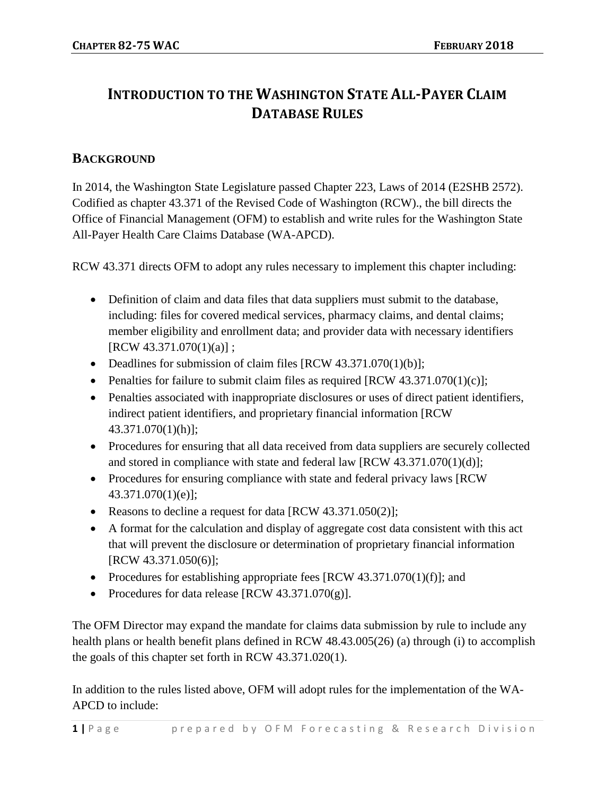## **INTRODUCTION TO THE WASHINGTON STATE ALL-PAYER CLAIM DATABASE RULES**

## **BACKGROUND**

In 2014, the Washington State Legislature passed Chapter 223, Laws of 2014 (E2SHB 2572). Codified as chapter 43.371 of the Revised Code of Washington (RCW)., the bill directs the Office of Financial Management (OFM) to establish and write rules for the Washington State All-Payer Health Care Claims Database (WA-APCD).

RCW 43.371 directs OFM to adopt any rules necessary to implement this chapter including:

- Definition of claim and data files that data suppliers must submit to the database, including: files for covered medical services, pharmacy claims, and dental claims; member eligibility and enrollment data; and provider data with necessary identifiers [RCW 43.371.070(1)(a)] ;
- Deadlines for submission of claim files [RCW 43.371.070(1)(b)];
- Penalties for failure to submit claim files as required  $[RCW 43.371.070(1)(c)];$
- Penalties associated with inappropriate disclosures or uses of direct patient identifiers, indirect patient identifiers, and proprietary financial information [RCW 43.371.070(1)(h)];
- Procedures for ensuring that all data received from data suppliers are securely collected and stored in compliance with state and federal law  $[RCW 43.371.070(1)(d)];$
- Procedures for ensuring compliance with state and federal privacy laws [RCW] 43.371.070(1)(e)];
- Reasons to decline a request for data [RCW 43.371.050(2)];
- A format for the calculation and display of aggregate cost data consistent with this act that will prevent the disclosure or determination of proprietary financial information [RCW 43.371.050(6)];
- Procedures for establishing appropriate fees [RCW 43.371.070(1)(f)]; and
- Procedures for data release  $[RCW 43.371.070(g)]$ .

The OFM Director may expand the mandate for claims data submission by rule to include any health plans or health benefit plans defined in RCW 48.43.005(26) (a) through (i) to accomplish the goals of this chapter set forth in RCW 43.371.020(1).

In addition to the rules listed above, OFM will adopt rules for the implementation of the WA-APCD to include: